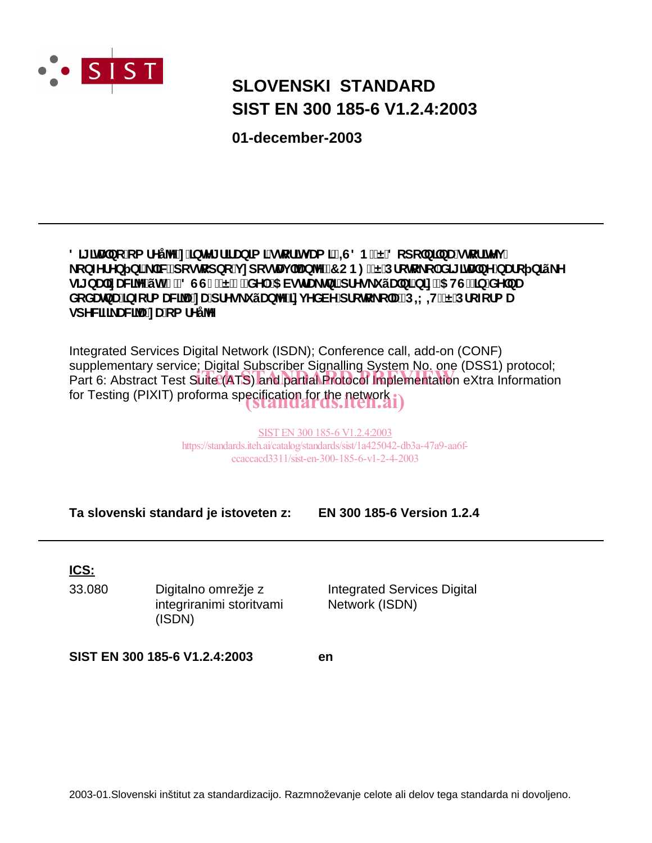

# **SLOVENSKI STANDARD** SIST EN 300 185-6 V1.2.4:2003

01-december-2003

#### 8 || ||Ubc ca fYÿY'n ||bhY| f|fUbla | ghcflhi Ua | fl=G8 BLE'8 cdc`b| bU ghcflhYj. cbZYfYb b] WŁdcglcdbc j ndcglUj 'UbY'fVCB: LEDfclc\_c XII IHJbYbUfc blv Y g][ bU]nUV]^Y`yH`%fB GG%LE`\* "XY. 5 Vgh'U\_hb]`dfYg\_i yUb]`b]n`f5 HGL`]b`XY`bU XcXUbU]bzta UVVunUdfYg\_i ýUbY']nj YXVYdfchc\_c`UfD+L+ILEDfczta U gdYWZ UWUnUca fYyY

Integrated Services Digital Network (ISDN); Conference call, add-on (CONF) supplementary service; Digital Subscriber Signalling System No. one (DSS1) protocol; Part 6: Abstract Test Suite (ATS) and partial Protocol Implementation eXtra Information for Testing (PIXIT) proforma specification for the network 1)

> SIST EN 300 185-6 V1.2.4:2003 https://standards.iteh.ai/catalog/standards/sist/1a425042-db3a-47a9-aa6fccaccacd3311/sist-en-300-185-6-v1-2-4-2003

Ta slovenski standard je istoveten z:

**EN 300 185-6 Version 1.2.4** 

ICS:

33.080 Digitalno omrežje z integriranimi storitvami  $(ISDN)$ 

**Integrated Services Digital** Network (ISDN)

SIST EN 300 185-6 V1.2.4:2003

en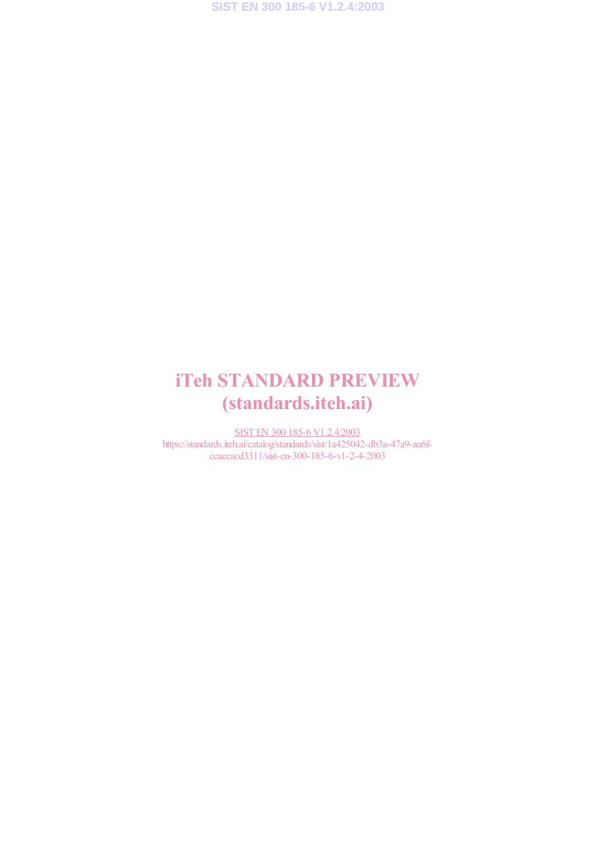# iTeh STANDARD PREVIEW (standards.iteh.ai)

SIST EN 300 185-6 V1.2.4:2003 https://standards.iteh.ai/catalog/standards/sist/1a425042-db3a-47a9-aa6fccaccacd3311/sist-en-300-185-6-v1-2-4-2003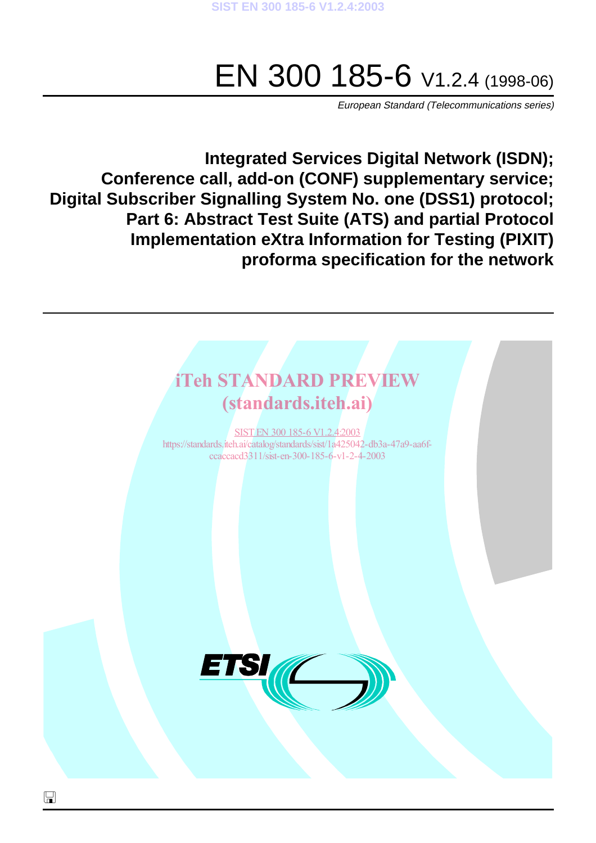# EN 300 185-6 V1.2.4 (1998-06)

European Standard (Telecommunications series)

**Integrated Services Digital Network (ISDN); Conference call, add-on (CONF) supplementary service; Digital Subscriber Signalling System No. one (DSS1) protocol; Part 6: Abstract Test Suite (ATS) and partial Protocol Implementation eXtra Information for Testing (PIXIT) proforma specification for the network**

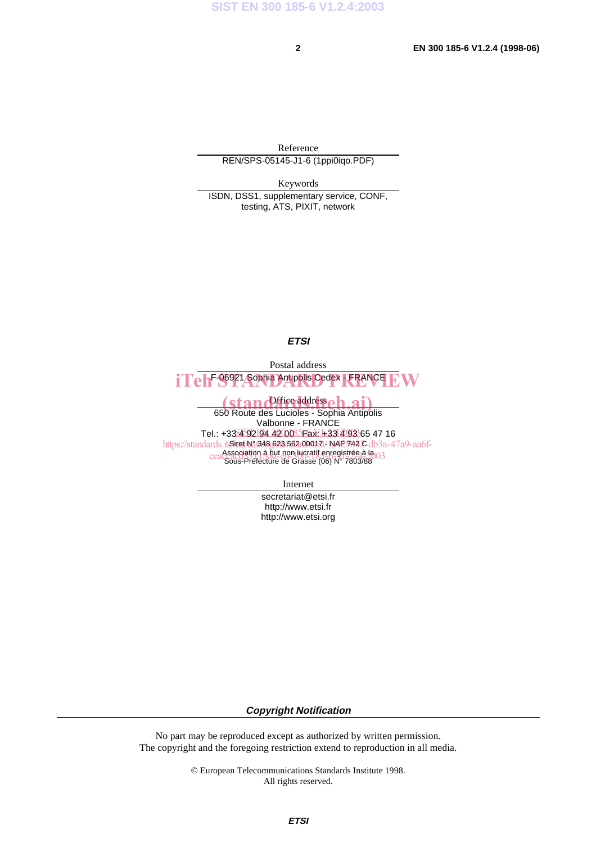Reference REN/SPS-05145-J1-6 (1ppi0iqo.PDF)

Keywords

ISDN, DSS1, supplementary service, CONF, testing, ATS, PIXIT, network

#### **ETSI**

Postal address

 $i**T**e<sup>F-069</sup>21$ Sophia Antipolis Cedex **RANC** $**F**W$ 

Office address (standardige address oh ai)

650 Route des Lucioles - Sophia Antipolis Valbonne - FRANCE Tel.: +33 4 92 94 42 008 5 Fax: 1 - 33 4 03 65 47 16 https://standards.it**Siret/Nå348 623 562 0001** 7/ NAE 742 C db3a-47a9-aa6f-Association à but non lucratif enregistrée à la ccacsociation a but non lucratit enregistree a la<br>Ccaccac de Grasse (06) N° 7803/88

Internet

secretariat@etsi.fr http://www.etsi.fr http://www.etsi.org

**Copyright Notification**

No part may be reproduced except as authorized by written permission. The copyright and the foregoing restriction extend to reproduction in all media.

> © European Telecommunications Standards Institute 1998. All rights reserved.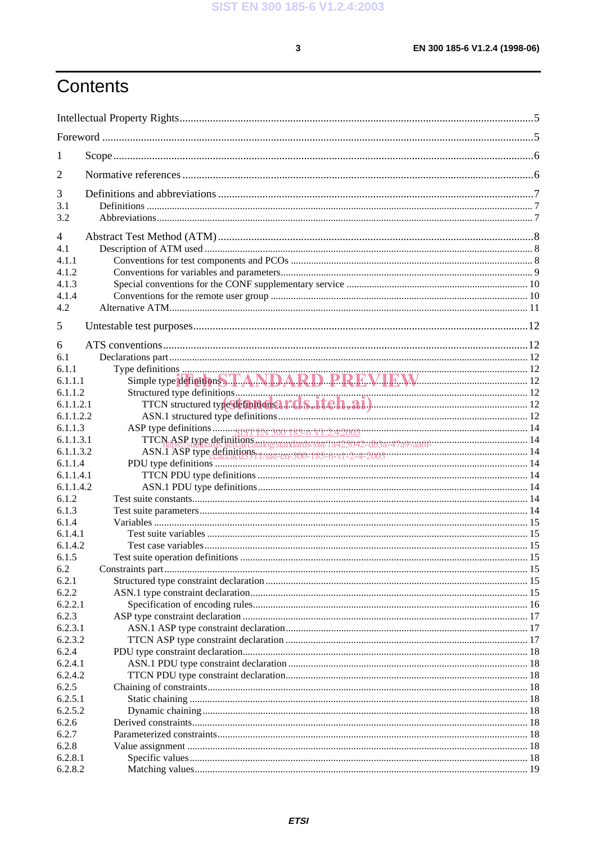$\overline{\mathbf{3}}$ 

# Contents

| 1                                                   |                                                                                                               |  |
|-----------------------------------------------------|---------------------------------------------------------------------------------------------------------------|--|
| 2                                                   |                                                                                                               |  |
| 3<br>3.1<br>3.2                                     |                                                                                                               |  |
| 4<br>4.1<br>4.1.1<br>4.1.2<br>4.1.3<br>4.1.4<br>4.2 |                                                                                                               |  |
| 5                                                   |                                                                                                               |  |
| 6<br>6.1<br>6.1.1                                   |                                                                                                               |  |
| 6.1.1.1                                             |                                                                                                               |  |
| 6.1.1.2<br>6.1.1.2.1                                |                                                                                                               |  |
| 6.1.1.2.2                                           |                                                                                                               |  |
| 6.1.1.3                                             |                                                                                                               |  |
| 6.1.1.3.1                                           |                                                                                                               |  |
| 6.1.1.3.2                                           |                                                                                                               |  |
| 6.1.1.4                                             | ASN.1 ASP type definitions (1/8) SERVICE TO A SALE AND THE CONTROL OF SERVICE TO A SERVICE CONTROL OF SUCCESS |  |
| 6.1.1.4.1                                           |                                                                                                               |  |
| 6.1.1.4.2                                           |                                                                                                               |  |
| 6.1.2                                               |                                                                                                               |  |
| 6.1.3                                               |                                                                                                               |  |
| 6.1.4                                               |                                                                                                               |  |
| 6.1.4.1                                             |                                                                                                               |  |
| 6.1.4.2                                             |                                                                                                               |  |
| 6.1.5                                               |                                                                                                               |  |
| 6.2                                                 |                                                                                                               |  |
| 6.2.1                                               |                                                                                                               |  |
| 6.2.2                                               |                                                                                                               |  |
| 6.2.2.1                                             |                                                                                                               |  |
| 6.2.3                                               |                                                                                                               |  |
| 6.2.3.1                                             |                                                                                                               |  |
| 6.2.3.2                                             |                                                                                                               |  |
| 6.2.4                                               |                                                                                                               |  |
| 6.2.4.1                                             |                                                                                                               |  |
| 6.2.4.2                                             |                                                                                                               |  |
| 6.2.5                                               |                                                                                                               |  |
| 6.2.5.1                                             |                                                                                                               |  |
| 6.2.5.2                                             |                                                                                                               |  |
| 6.2.6                                               |                                                                                                               |  |
| 6.2.7                                               |                                                                                                               |  |
| 6.2.8                                               |                                                                                                               |  |
| 6.2.8.1                                             |                                                                                                               |  |
| 6.2.8.2                                             |                                                                                                               |  |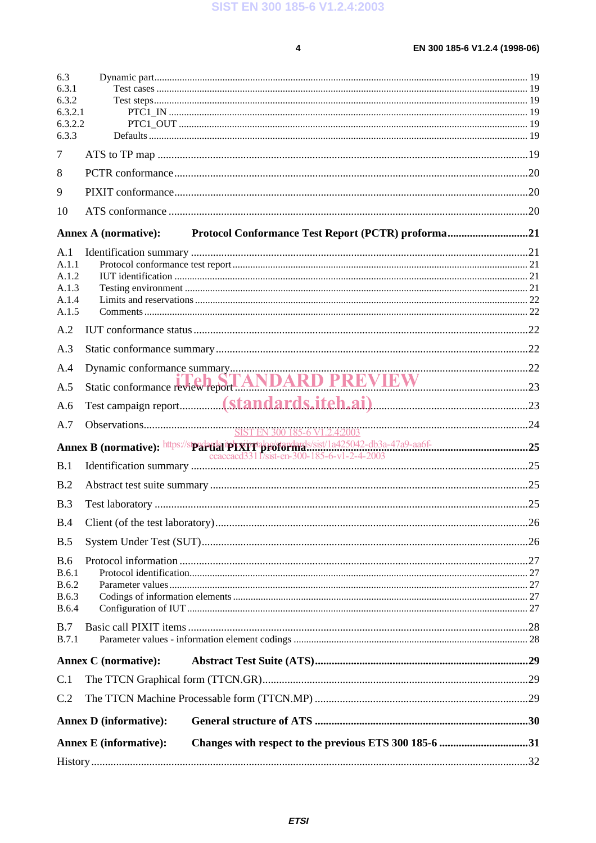$\overline{\mathbf{4}}$ 

| 6.3<br>6.3.1<br>6.3.2<br>6.3.2.1<br>6.3.2.2<br>6.3.3                |                               |                                                                                                                                      |  |
|---------------------------------------------------------------------|-------------------------------|--------------------------------------------------------------------------------------------------------------------------------------|--|
| 7                                                                   |                               |                                                                                                                                      |  |
| 8                                                                   |                               |                                                                                                                                      |  |
| 9                                                                   |                               |                                                                                                                                      |  |
| 10                                                                  |                               |                                                                                                                                      |  |
|                                                                     | <b>Annex A (normative):</b>   | Protocol Conformance Test Report (PCTR) proforma21                                                                                   |  |
| A.1<br>A.1.1<br>A.1.2<br>A.1.3<br>A.1.4<br>A.1.5                    |                               |                                                                                                                                      |  |
| A.2                                                                 |                               |                                                                                                                                      |  |
| A.3                                                                 |                               |                                                                                                                                      |  |
| A.4                                                                 |                               |                                                                                                                                      |  |
| A.5                                                                 |                               |                                                                                                                                      |  |
| A.6                                                                 |                               |                                                                                                                                      |  |
| A.7                                                                 |                               |                                                                                                                                      |  |
|                                                                     |                               | Annex B (normative): https://stpartalialphy.jpp/graphats/sist/1a425042-db3a-47a9-aa6f-<br>ccaccacd3311/sist-en-300-185-6-v1-2-4-2003 |  |
| B.1                                                                 |                               |                                                                                                                                      |  |
| B.2                                                                 |                               |                                                                                                                                      |  |
| B.3                                                                 |                               |                                                                                                                                      |  |
| B.4                                                                 |                               |                                                                                                                                      |  |
| B.5                                                                 |                               |                                                                                                                                      |  |
| <b>B.6</b><br><b>B.6.1</b><br>B.6.2<br><b>B.6.3</b><br><b>B.6.4</b> |                               |                                                                                                                                      |  |
| B.7<br><b>B.7.1</b>                                                 |                               |                                                                                                                                      |  |
|                                                                     | <b>Annex C</b> (normative):   |                                                                                                                                      |  |
| C.1                                                                 |                               |                                                                                                                                      |  |
| C.2                                                                 |                               |                                                                                                                                      |  |
|                                                                     | <b>Annex D</b> (informative): |                                                                                                                                      |  |
|                                                                     | <b>Annex E</b> (informative): | Changes with respect to the previous ETS 300 185-6 31                                                                                |  |
|                                                                     |                               |                                                                                                                                      |  |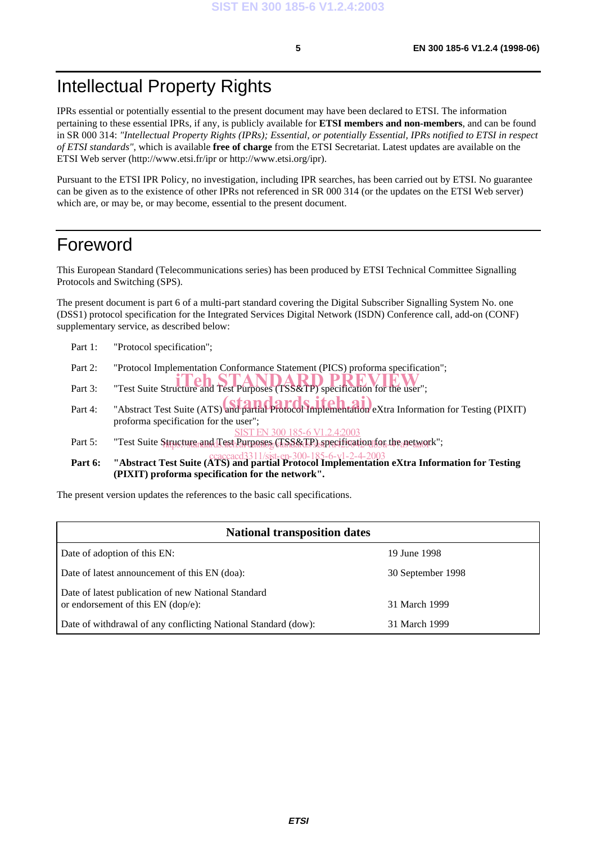# Intellectual Property Rights

IPRs essential or potentially essential to the present document may have been declared to ETSI. The information pertaining to these essential IPRs, if any, is publicly available for **ETSI members and non-members**, and can be found in SR 000 314: *"Intellectual Property Rights (IPRs); Essential, or potentially Essential, IPRs notified to ETSI in respect of ETSI standards"*, which is available **free of charge** from the ETSI Secretariat. Latest updates are available on the ETSI Web server (http://www.etsi.fr/ipr or http://www.etsi.org/ipr).

Pursuant to the ETSI IPR Policy, no investigation, including IPR searches, has been carried out by ETSI. No guarantee can be given as to the existence of other IPRs not referenced in SR 000 314 (or the updates on the ETSI Web server) which are, or may be, or may become, essential to the present document.

### Foreword

This European Standard (Telecommunications series) has been produced by ETSI Technical Committee Signalling Protocols and Switching (SPS).

The present document is part 6 of a multi-part standard covering the Digital Subscriber Signalling System No. one (DSS1) protocol specification for the Integrated Services Digital Network (ISDN) Conference call, add-on (CONF) supplementary service, as described below:

- Part 1: "Protocol specification";
- Part 2: "Protocol Implementation Conformance Statement (PICS) proforma specification";
- Part 3: "Test Suite Structure and Test Purposes (TSS&TP) specification for the user";
- Part 4: "Abstract Test Suite (ATS) and partial Protocol Implementation eXtra Information for Testing (PIXIT) proforma specification for the user";
- Part 5: "Test Suite Structure and Test Purposes (TSS&TP) specification for the network"; SIST EN 300 185-6 V1.2.4:2003
- **Part 6: "Abstract Test Suite (ATS) and partial Protocol Implementation eXtra Information for Testing** ccaccacd3311/sist-en-300-185-6-v1-2-4-2003**(PIXIT) proforma specification for the network".**

The present version updates the references to the basic call specifications.

| <b>National transposition dates</b>                                                         |                   |  |
|---------------------------------------------------------------------------------------------|-------------------|--|
| Date of adoption of this EN:                                                                | 19 June 1998      |  |
| Date of latest announcement of this EN (doa):                                               | 30 September 1998 |  |
| Date of latest publication of new National Standard<br>or endorsement of this $EN$ (dop/e): | 31 March 1999     |  |
| Date of withdrawal of any conflicting National Standard (dow):                              | 31 March 1999     |  |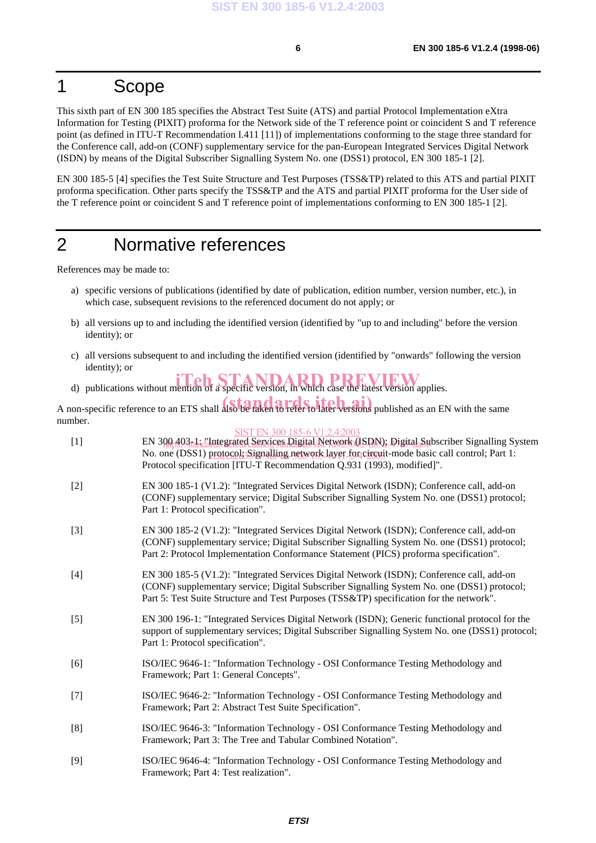# 1 Scope

This sixth part of EN 300 185 specifies the Abstract Test Suite (ATS) and partial Protocol Implementation eXtra Information for Testing (PIXIT) proforma for the Network side of the T reference point or coincident S and T reference point (as defined in ITU-T Recommendation I.411 [11]) of implementations conforming to the stage three standard for the Conference call, add-on (CONF) supplementary service for the pan-European Integrated Services Digital Network (ISDN) by means of the Digital Subscriber Signalling System No. one (DSS1) protocol, EN 300 185-1 [2].

EN 300 185-5 [4] specifies the Test Suite Structure and Test Purposes (TSS&TP) related to this ATS and partial PIXIT proforma specification. Other parts specify the TSS&TP and the ATS and partial PIXIT proforma for the User side of the T reference point or coincident S and T reference point of implementations conforming to EN 300 185-1 [2].

# 2 Normative references

References may be made to:

- a) specific versions of publications (identified by date of publication, edition number, version number, etc.), in which case, subsequent revisions to the referenced document do not apply; or
- b) all versions up to and including the identified version (identified by "up to and including" before the version identity); or
- c) all versions subsequent to and including the identified version (identified by "onwards" following the version identity); or
- d) publications without mention of a specific version, in which case the latest version applies.

A non-specific reference to an ETS shall also be taken to refer to later versions published as an EN with the same

| number. |                                                                                                                                                                                                                                                                                                              |
|---------|--------------------------------------------------------------------------------------------------------------------------------------------------------------------------------------------------------------------------------------------------------------------------------------------------------------|
| $[1]$   | SIST EN 300 185-6 V1.2.4:2003<br>EN 300.403-1. Three rated Senvices Digital Network (ISDN); Digital Subscriber Signalling System<br>No. one (DSS1) protocol; Signalling network layer for circuit-mode basic call control; Part 1:<br>Protocol specification [ITU-T Recommendation Q.931 (1993), modified]". |
| $[2]$   | EN 300 185-1 (V1.2): "Integrated Services Digital Network (ISDN); Conference call, add-on<br>(CONF) supplementary service; Digital Subscriber Signalling System No. one (DSS1) protocol;<br>Part 1: Protocol specification".                                                                                 |
| $[3]$   | EN 300 185-2 (V1.2): "Integrated Services Digital Network (ISDN); Conference call, add-on<br>(CONF) supplementary service; Digital Subscriber Signalling System No. one (DSS1) protocol;<br>Part 2: Protocol Implementation Conformance Statement (PICS) proforma specification".                            |
| $[4]$   | EN 300 185-5 (V1.2): "Integrated Services Digital Network (ISDN); Conference call, add-on<br>(CONF) supplementary service; Digital Subscriber Signalling System No. one (DSS1) protocol;<br>Part 5: Test Suite Structure and Test Purposes (TSS&TP) specification for the network".                          |
| $[5]$   | EN 300 196-1: "Integrated Services Digital Network (ISDN); Generic functional protocol for the<br>support of supplementary services; Digital Subscriber Signalling System No. one (DSS1) protocol;<br>Part 1: Protocol specification".                                                                       |
| [6]     | ISO/IEC 9646-1: "Information Technology - OSI Conformance Testing Methodology and<br>Framework; Part 1: General Concepts".                                                                                                                                                                                   |
| $[7]$   | ISO/IEC 9646-2: "Information Technology - OSI Conformance Testing Methodology and<br>Framework; Part 2: Abstract Test Suite Specification".                                                                                                                                                                  |
| [8]     | ISO/IEC 9646-3: "Information Technology - OSI Conformance Testing Methodology and<br>Framework; Part 3: The Tree and Tabular Combined Notation".                                                                                                                                                             |
| $[9]$   | ISO/IEC 9646-4: "Information Technology - OSI Conformance Testing Methodology and<br>Framework; Part 4: Test realization".                                                                                                                                                                                   |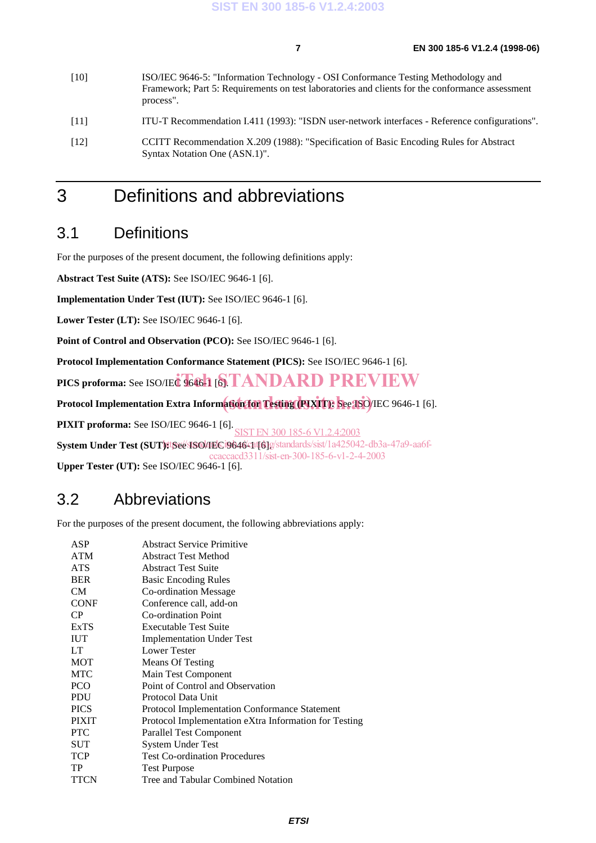| [10] | ISO/IEC 9646-5: "Information Technology - OSI Conformance Testing Methodology and<br>Framework; Part 5: Requirements on test laboratories and clients for the conformance assessment<br>process". |
|------|---------------------------------------------------------------------------------------------------------------------------------------------------------------------------------------------------|
| [11] | ITU-T Recommendation I.411 (1993): "ISDN user-network interfaces - Reference configurations".                                                                                                     |
| [12] | CCITT Recommendation X.209 (1988): "Specification of Basic Encoding Rules for Abstract<br>Syntax Notation One (ASN.1)".                                                                           |

# 3 Definitions and abbreviations

#### 3.1 Definitions

For the purposes of the present document, the following definitions apply:

**Abstract Test Suite (ATS):** See ISO/IEC 9646-1 [6].

**Implementation Under Test (IUT):** See ISO/IEC 9646-1 [6].

**Lower Tester (LT):** See ISO/IEC 9646-1 [6].

**Point of Control and Observation (PCO):** See ISO/IEC 9646-1 [6].

**Protocol Implementation Conformance Statement (PICS):** See ISO/IEC 9646-1 [6].

PICS proforma: See ISO/IEC 9646-1 [6TANDARD PREVIEW

Protocol Implementation Extra Inform<mark>ation for Testing (PIXIT): See ISO</mark>/IEC 9646-1 [6].

**PIXIT proforma:** See ISO/IEC 9646-1 [6]. SIST EN 300 185-6 V1.2.4:2003 System Under Test (SUT): See 1SO/IECi9646 https://standards/sist/1a425042-db3a-47a9-aa6f-

ccaccacd3311/sist-en-300-185-6-v1-2-4-2003

**Upper Tester (UT):** See ISO/IEC 9646-1 [6].

#### 3.2 Abbreviations

For the purposes of the present document, the following abbreviations apply:

| ASP          | <b>Abstract Service Primitive</b>                     |
|--------------|-------------------------------------------------------|
| ATM          | <b>Abstract Test Method</b>                           |
| ATS          | <b>Abstract Test Suite</b>                            |
| <b>BER</b>   | <b>Basic Encoding Rules</b>                           |
| CM.          | <b>Co-ordination Message</b>                          |
| <b>CONF</b>  | Conference call, add-on                               |
| CP.          | <b>Co-ordination Point</b>                            |
| <b>ExTS</b>  | <b>Executable Test Suite</b>                          |
| <b>IUT</b>   | <b>Implementation Under Test</b>                      |
| LT           | <b>Lower Tester</b>                                   |
| <b>MOT</b>   | <b>Means Of Testing</b>                               |
| MTC          | Main Test Component                                   |
| <b>PCO</b>   | Point of Control and Observation                      |
| PDU          | Protocol Data Unit                                    |
| <b>PICS</b>  | <b>Protocol Implementation Conformance Statement</b>  |
| <b>PIXIT</b> | Protocol Implementation eXtra Information for Testing |
| <b>PTC</b>   | <b>Parallel Test Component</b>                        |
| <b>SUT</b>   | System Under Test                                     |
| TCP          | <b>Test Co-ordination Procedures</b>                  |
| TP           | <b>Test Purpose</b>                                   |
| TTCN         | Tree and Tabular Combined Notation                    |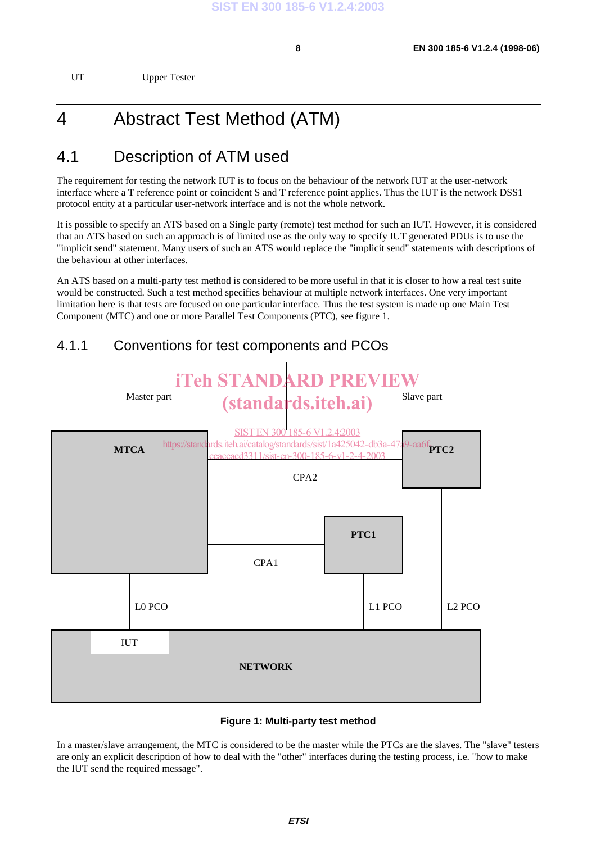UT Upper Tester

# 4 Abstract Test Method (ATM)

#### 4.1 Description of ATM used

The requirement for testing the network IUT is to focus on the behaviour of the network IUT at the user-network interface where a T reference point or coincident S and T reference point applies. Thus the IUT is the network DSS1 protocol entity at a particular user-network interface and is not the whole network.

It is possible to specify an ATS based on a Single party (remote) test method for such an IUT. However, it is considered that an ATS based on such an approach is of limited use as the only way to specify IUT generated PDUs is to use the "implicit send" statement. Many users of such an ATS would replace the "implicit send" statements with descriptions of the behaviour at other interfaces.

An ATS based on a multi-party test method is considered to be more useful in that it is closer to how a real test suite would be constructed. Such a test method specifies behaviour at multiple network interfaces. One very important limitation here is that tests are focused on one particular interface. Thus the test system is made up one Main Test Component (MTC) and one or more Parallel Test Components (PTC), see figure 1.

#### 4.1.1 Conventions for test components and PCOs





In a master/slave arrangement, the MTC is considered to be the master while the PTCs are the slaves. The "slave" testers are only an explicit description of how to deal with the "other" interfaces during the testing process, i.e. "how to make the IUT send the required message".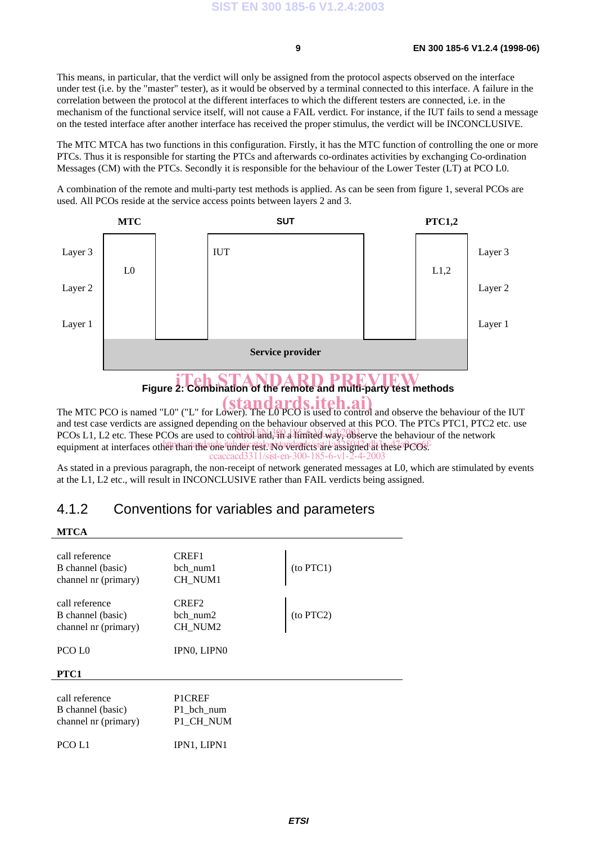This means, in particular, that the verdict will only be assigned from the protocol aspects observed on the interface under test (i.e. by the "master" tester), as it would be observed by a terminal connected to this interface. A failure in the correlation between the protocol at the different interfaces to which the different testers are connected, i.e. in the mechanism of the functional service itself, will not cause a FAIL verdict. For instance, if the IUT fails to send a message on the tested interface after another interface has received the proper stimulus, the verdict will be INCONCLUSIVE.

The MTC MTCA has two functions in this configuration. Firstly, it has the MTC function of controlling the one or more PTCs. Thus it is responsible for starting the PTCs and afterwards co-ordinates activities by exchanging Co-ordination Messages (CM) with the PTCs. Secondly it is responsible for the behaviour of the Lower Tester (LT) at PCO L0.

A combination of the remote and multi-party test methods is applied. As can be seen from figure 1, several PCOs are used. All PCOs reside at the service access points between layers 2 and 3.



The MTC PCO is named "L0" ("L" for Lower). The L0 PCO is used to control and observe the behaviour of the IUT and test case verdicts are assigned depending on the behaviour observed at this PCO. The PTCs PTC1, PTC2 etc. use PCOs L1, L2 etc. These PCOs are used to control and, in a limited way, observe the behaviour of the network equipment at interfaces other than the one that retal system danisls are assigned at these PCOS. ccaccacd3311/sist-en-300-185-6-v1-2-4-2003

As stated in a previous paragraph, the non-receipt of network generated messages at L0, which are stimulated by events at the L1, L2 etc., will result in INCONCLUSIVE rather than FAIL verdicts being assigned.

#### 4.1.2 Conventions for variables and parameters

#### **MTCA**

| call reference<br>B channel (basic)<br>channel nr (primary) | CREF1<br>bch_num1<br>CH_NUM1             | (to PTC1) |
|-------------------------------------------------------------|------------------------------------------|-----------|
| call reference<br>B channel (basic)<br>channel nr (primary) | CREF <sub>2</sub><br>bch num2<br>CH NUM2 | (to PTC2) |
| PCO L <sub>0</sub>                                          | IPNO, LIPNO                              |           |
| PTC1                                                        |                                          |           |
| call reference<br>B channel (basic)<br>channel nr (primary) | P1CREF<br>P1 bch num<br>P1_CH_NUM        |           |
| PCO L1                                                      | IPN1, LIPN1                              |           |